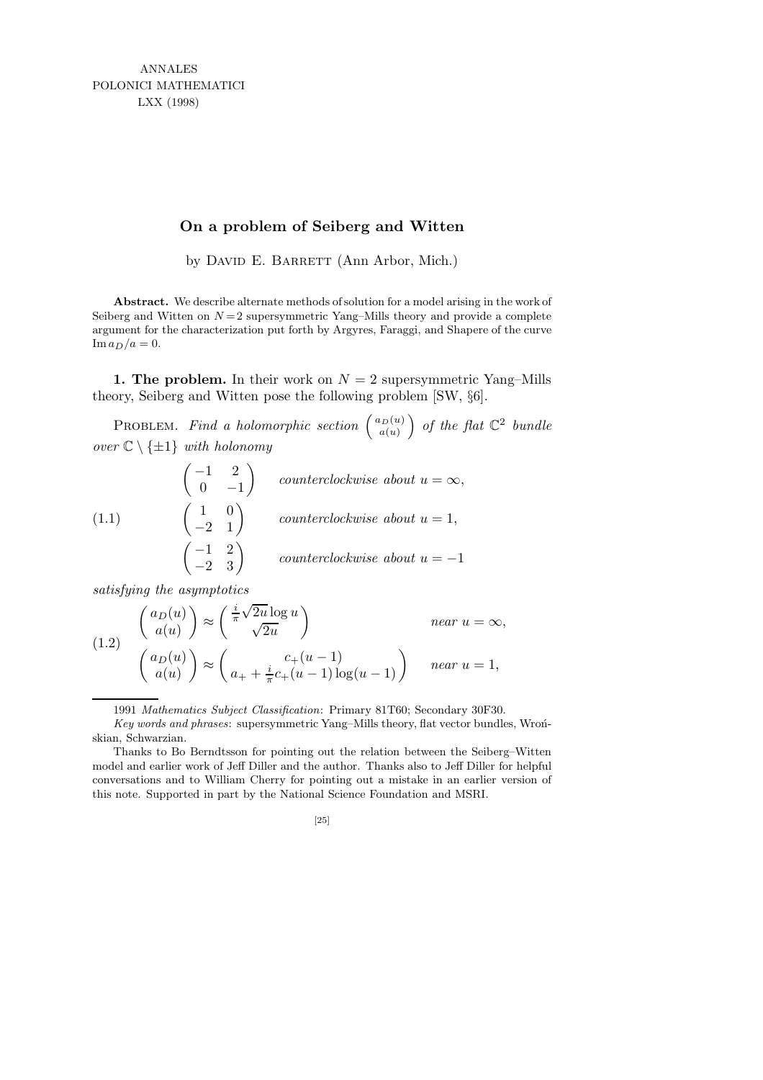ANNALES POLONICI MATHEMATICI LXX (1998)

# **On a problem of Seiberg and Witten**

by DAVID E. BARRETT (Ann Arbor, Mich.)

**Abstract.** We describe alternate methods of solution for a model arising in the work of Seiberg and Witten on  $N=2$  supersymmetric Yang–Mills theory and provide a complete argument for the characterization put forth by Argyres, Faraggi, and Shapere of the curve  $\text{Im }a_D/a=0.$ 

1. The problem. In their work on  $N = 2$  supersymmetric Yang–Mills theory, Seiberg and Witten pose the following problem [SW, §6].

PROBLEM. Find a holomorphic section  $\begin{pmatrix} a_D(u) \\ a(u) \end{pmatrix}$  $a(u)$ ) of the flat  $\mathbb{C}^2$  bundle over  $\mathbb{C} \setminus \{\pm 1\}$  with holonomy

(1.1) 
$$
\begin{pmatrix} -1 & 2 \\ 0 & -1 \end{pmatrix}
$$
 counterclockwise about  $u = \infty$ ,  
\n $\begin{pmatrix} 1 & 0 \\ -2 & 1 \end{pmatrix}$  counterclockwise about  $u = 1$ ,  
\n $\begin{pmatrix} -1 & 2 \\ -2 & 3 \end{pmatrix}$  counterclockwise about  $u = -1$ 

satisfying the asymptotics

(1.2) 
$$
\begin{pmatrix} a_D(u) \ a(u) \end{pmatrix} \approx \begin{pmatrix} \frac{i}{\pi} \sqrt{2u} \log u \\ \sqrt{2u} \end{pmatrix}
$$
 near  $u = \infty$ ,  

$$
\begin{pmatrix} a_D(u) \ a(u) \end{pmatrix} \approx \begin{pmatrix} c_+(u-1) \\ a_+(u-1) \log(u-1) \end{pmatrix}
$$
 near  $u = 1$ ,

1991 *Mathematics Subject Classification*: Primary 81T60; Secondary 30F30.

*Key words and phrases*: supersymmetric Yang–Mills theory, flat vector bundles, Wronskian, Schwarzian.

Thanks to Bo Berndtsson for pointing out the relation between the Seiberg–Witten model and earlier work of Jeff Diller and the author. Thanks also to Jeff Diller for helpful conversations and to William Cherry for pointing out a mistake in an earlier version of this note. Supported in part by the National Science Foundation and MSRI.

<sup>[25]</sup>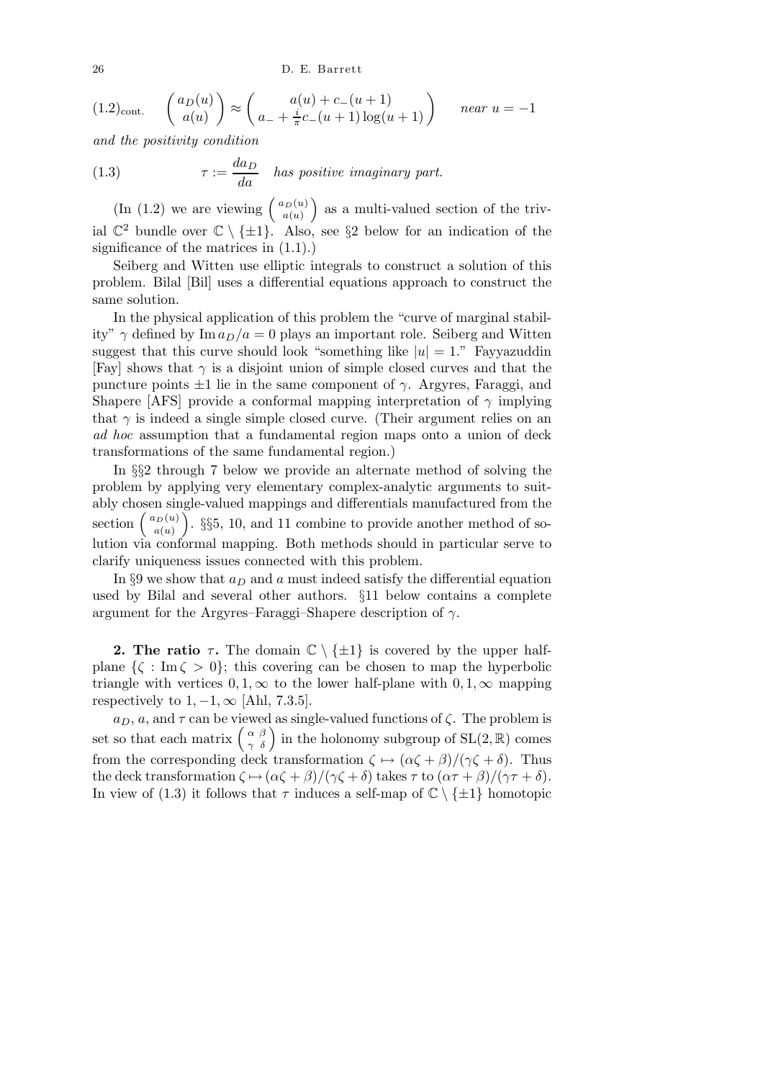26 D. E. Barrett

$$
(1.2)_{\text{cont.}} \quad \begin{pmatrix} a_D(u) \\ a(u) \end{pmatrix} \approx \begin{pmatrix} a(u) + c_-(u+1) \\ a_+ + \frac{i}{\pi}c_-(u+1)\log(u+1) \end{pmatrix} \quad near \ u = -1
$$

and the positivity condition

(1.3) 
$$
\tau := \frac{da_D}{da}
$$
 has positive imaginary part.

(In (1.2) we are viewing  $\begin{pmatrix} a_D(u) \\ a(u) \end{pmatrix}$  $a(u)$  as a multi-valued section of the trivial  $\mathbb{C}^2$  bundle over  $\mathbb{C} \setminus {\{\pm 1\}}$ . Also, see §2 below for an indication of the significance of the matrices in (1.1).)

Seiberg and Witten use elliptic integrals to construct a solution of this problem. Bilal [Bil] uses a differential equations approach to construct the same solution.

In the physical application of this problem the "curve of marginal stability"  $\gamma$  defined by Im  $a_D/a = 0$  plays an important role. Seiberg and Witten suggest that this curve should look "something like  $|u|=1$ ." Fayyazuddin [Fay] shows that  $\gamma$  is a disjoint union of simple closed curves and that the puncture points  $\pm 1$  lie in the same component of  $\gamma$ . Argyres, Faraggi, and Shapere [AFS] provide a conformal mapping interpretation of  $\gamma$  implying that  $\gamma$  is indeed a single simple closed curve. (Their argument relies on an ad hoc assumption that a fundamental region maps onto a union of deck transformations of the same fundamental region.)

In §§2 through 7 below we provide an alternate method of solving the problem by applying very elementary complex-analytic arguments to suitably chosen single-valued mappings and differentials manufactured from the section  $\begin{pmatrix} a_D(u) \\ a(u) \end{pmatrix}$  $a(u)$  $\left( \frac{1}{55}, \frac{10}{10}, \frac{11}{100} \right)$ . §§5, 10, and 11 combine to provide another method of solution via conformal mapping. Both methods should in particular serve to clarify uniqueness issues connected with this problem.

In §9 we show that  $a_D$  and a must indeed satisfy the differential equation used by Bilal and several other authors. §11 below contains a complete argument for the Argyres–Faraggi–Shapere description of  $\gamma$ .

**2. The ratio**  $\tau$ . The domain  $\mathbb{C} \setminus \{\pm 1\}$  is covered by the upper halfplane  $\{\zeta : \text{Im}\,\zeta > 0\}$ ; this covering can be chosen to map the hyperbolic triangle with vertices  $0, 1, \infty$  to the lower half-plane with  $0, 1, \infty$  mapping respectively to  $1, -1, \infty$  [Ahl, 7.3.5].

 $a_D, a$ , and  $\tau$  can be viewed as single-valued functions of  $\zeta$ . The problem is set so that each matrix  $\begin{pmatrix} \alpha & \beta \\ \gamma & \delta \end{pmatrix}$  in the holonomy subgroup of SL(2, R) comes from the corresponding deck transformation  $\zeta \mapsto (\alpha \zeta + \beta)/(\gamma \zeta + \delta)$ . Thus the deck transformation  $\zeta \mapsto (\alpha \zeta + \beta)/(\gamma \zeta + \delta)$  takes  $\tau$  to  $(\alpha \tau + \beta)/(\gamma \tau + \delta)$ . In view of (1.3) it follows that  $\tau$  induces a self-map of  $\mathbb{C} \setminus \{\pm 1\}$  homotopic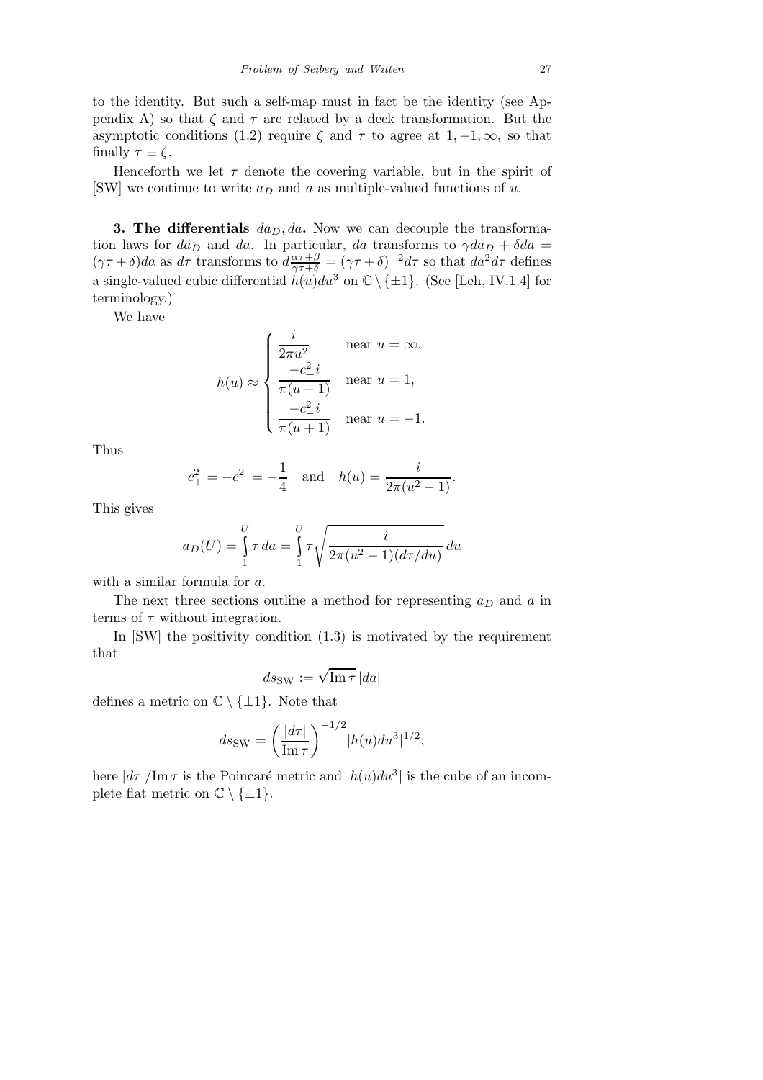to the identity. But such a self-map must in fact be the identity (see Appendix A) so that  $\zeta$  and  $\tau$  are related by a deck transformation. But the asymptotic conditions (1.2) require  $\zeta$  and  $\tau$  to agree at 1, -1,  $\infty$ , so that finally  $\tau \equiv \zeta$ .

Henceforth we let  $\tau$  denote the covering variable, but in the spirit of [SW] we continue to write  $a_D$  and a as multiple-valued functions of u.

3. The differentials  $da_D, da$ . Now we can decouple the transformation laws for  $da_D$  and  $da$ . In particular, da transforms to  $\gamma da_D + \delta da =$  $(\gamma \tau + \delta)da$  as  $d\tau$  transforms to  $d \frac{\alpha \tau + \beta}{\gamma \tau + \delta} = (\gamma \tau + \delta)^{-2}d\tau$  so that  $da^2 d\tau$  defines a single-valued cubic differential  $h(u)du^3$  on  $\mathbb{C} \setminus \{\pm 1\}$ . (See [Leh, IV.1.4] for terminology.)

We have

$$
h(u) \approx \begin{cases} \frac{i}{2\pi u^2} & \text{near } u = \infty, \\ \frac{-c_+^2 i}{\pi (u-1)} & \text{near } u = 1, \\ \frac{-c_-^2 i}{\pi (u+1)} & \text{near } u = -1. \end{cases}
$$

Thus

$$
c_+^2 = -c_-^2 = -\frac{1}{4}
$$
 and  $h(u) = \frac{i}{2\pi(u^2 - 1)}$ .

This gives

$$
a_D(U) = \int_{1}^{U} \tau \, da = \int_{1}^{U} \tau \sqrt{\frac{i}{2\pi(u^2 - 1)(d\tau/du)}} \, du
$$

with a similar formula for a.

The next three sections outline a method for representing  $a_D$  and a in terms of  $\tau$  without integration.

In  $[SW]$  the positivity condition  $(1.3)$  is motivated by the requirement that

$$
ds_{\text{SW}} := \sqrt{\text{Im}\,\tau}\,|da|
$$

defines a metric on  $\mathbb{C} \setminus \{\pm 1\}$ . Note that

$$
ds_{\text{SW}} = \left(\frac{|d\tau|}{\text{Im}\,\tau}\right)^{-1/2} |h(u)du^3|^{1/2};
$$

here  $\left| \frac{d\tau}{\text{Im }\tau} \right|$  is the Poincaré metric and  $\left| h(u)du^3 \right|$  is the cube of an incomplete flat metric on  $\mathbb{C} \setminus \{\pm 1\}.$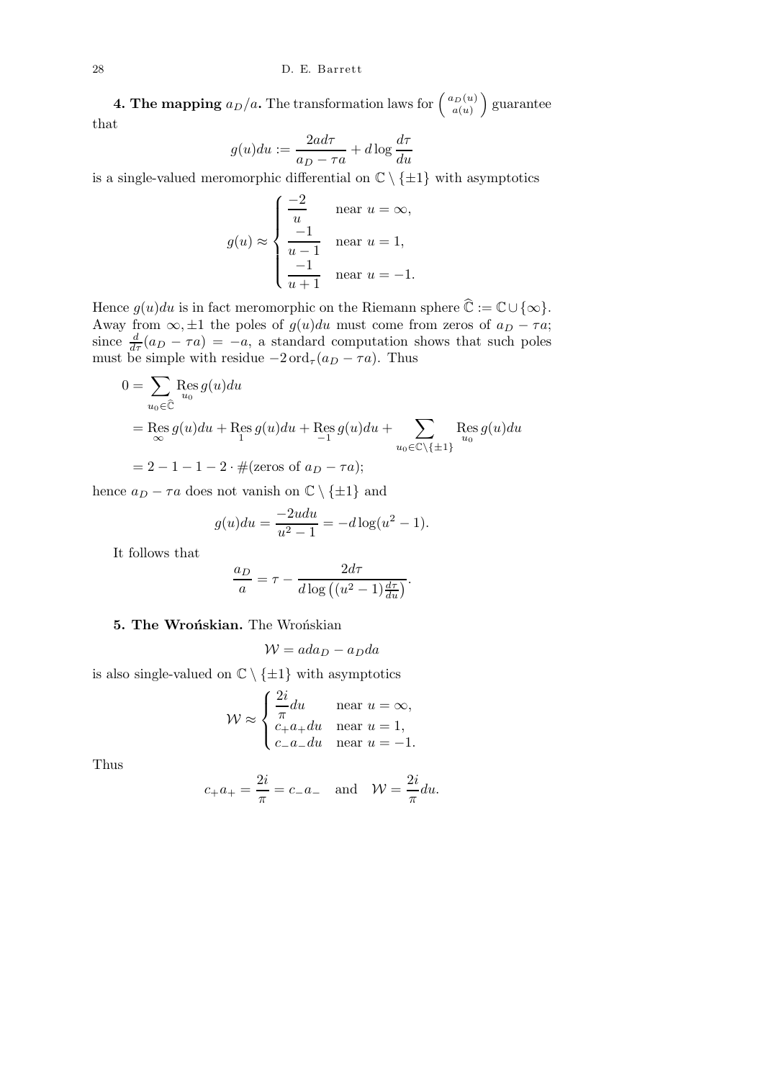**4. The mapping**  $a_D/a$ . The transformation laws for  $\begin{pmatrix} a_D(u) \\ a(u) \end{pmatrix}$  $a(u)$  guarantee that

$$
g(u)du := \frac{2ad\tau}{a_D - \tau a} + d\log\frac{d\tau}{du}
$$

is a single-valued meromorphic differential on  $\mathbb{C} \setminus \{\pm 1\}$  with asymptotics

$$
g(u) \approx \begin{cases} \frac{-2}{u} & \text{near } u = \infty, \\ \frac{-1}{u-1} & \text{near } u = 1, \\ \frac{-1}{u+1} & \text{near } u = -1. \end{cases}
$$

Hence  $g(u)du$  is in fact meromorphic on the Riemann sphere  $\widehat{\mathbb{C}}:=\mathbb{C}\cup\{\infty\}.$ Away from  $\infty$ , ±1 the poles of  $g(u)du$  must come from zeros of  $a_D - \tau a$ ; since  $\frac{d}{d\tau}(a_D - \tau a) = -a$ , a standard computation shows that such poles must be simple with residue  $-2 \text{ord}_{\tau}(a_D - \tau a)$ . Thus

$$
0 = \sum_{u_0 \in \widehat{\mathbb{C}}} \operatorname{Res}_{u_0} g(u) du
$$
  
= Res  $g(u) du$  + Res  $g(u) du$  + Res  $g(u) du$  +  $\sum_{u_0 \in \mathbb{C} \setminus \{\pm 1\}} \operatorname{Res}_{u_0} g(u) du$   
= 2 - 1 - 1 - 2 \cdot # (zeros of  $a_D$  -  $\tau a$ );

hence  $a_D - \tau a$  does not vanish on  $\mathbb{C} \setminus \{\pm 1\}$  and

$$
g(u)du = \frac{-2udu}{u^2 - 1} = -d\log(u^2 - 1).
$$

It follows that

$$
\frac{a_D}{a} = \tau - \frac{2d\tau}{d\log((u^2 - 1)\frac{d\tau}{du})}.
$$

# 5. The Wrońskian. The Wrońskian

$$
W = ada_D - a_D da
$$

is also single-valued on  $\mathbb{C} \setminus {\pm 1}$  with asymptotics

$$
\mathcal{W} \approx \begin{cases} \frac{2i}{\pi} du & \text{near } u = \infty, \\ c_{+}a_{+}du & \text{near } u = 1, \\ c_{-}a_{-}du & \text{near } u = -1. \end{cases}
$$

Thus

$$
c_{+}a_{+} = \frac{2i}{\pi} = c_{-}a_{-}
$$
 and  $W = \frac{2i}{\pi}du$ .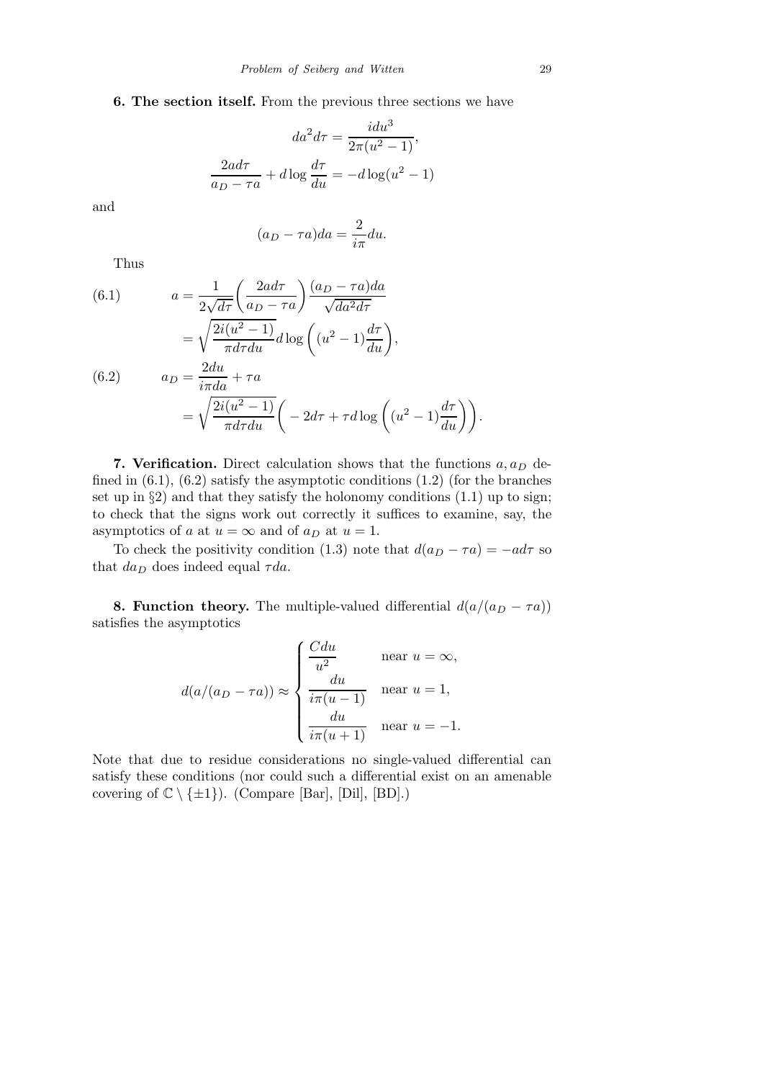# 6. The section itself. From the previous three sections we have

$$
da2d\tau = \frac{idu3}{2\pi(u2 - 1)},
$$

$$
\frac{2ad\tau}{a_D - \tau a} + d\log\frac{d\tau}{du} = -d\log(u2 - 1)
$$

and

$$
(a_D - \tau a)da = \frac{2}{i\pi}du.
$$

Thus

(6.1) 
$$
a = \frac{1}{2\sqrt{d\tau}} \left(\frac{2ad\tau}{a_D - \tau a}\right) \frac{(a_D - \tau a)da}{\sqrt{da^2 d\tau}}
$$

$$
= \sqrt{\frac{2i(u^2 - 1)}{\pi d\tau du}} d\log\left((u^2 - 1)\frac{d\tau}{du}\right),
$$
  
(6.2)

(6.2) 
$$
a_D = \frac{2au}{i\pi da} + \tau a
$$

$$
= \sqrt{\frac{2i(u^2 - 1)}{\pi d\tau du}} \left( -2d\tau + \tau d\log\left((u^2 - 1)\frac{d\tau}{du}\right) \right).
$$

7. Verification. Direct calculation shows that the functions  $a, a_D$  defined in  $(6.1)$ ,  $(6.2)$  satisfy the asymptotic conditions  $(1.2)$  (for the branches set up in  $\S 2$ ) and that they satisfy the holonomy conditions  $(1.1)$  up to sign; to check that the signs work out correctly it suffices to examine, say, the asymptotics of a at  $u = \infty$  and of  $a_D$  at  $u = 1$ .

To check the positivity condition (1.3) note that  $d(a_D - \tau a) = -ad\tau$  so that  $da_D$  does indeed equal  $\tau da$ .

**8. Function theory.** The multiple-valued differential  $d(a/(a_D - \tau a))$ satisfies the asymptotics

$$
d(a/(a_D - \tau a)) \approx \begin{cases} \frac{C du}{u^2} & \text{near } u = \infty, \\ \frac{du}{i\pi(u-1)} & \text{near } u = 1, \\ \frac{du}{i\pi(u+1)} & \text{near } u = -1. \end{cases}
$$

Note that due to residue considerations no single-valued differential can satisfy these conditions (nor could such a differential exist on an amenable covering of  $\mathbb{C} \setminus \{\pm 1\}$ ). (Compare [Bar], [Dil], [BD].)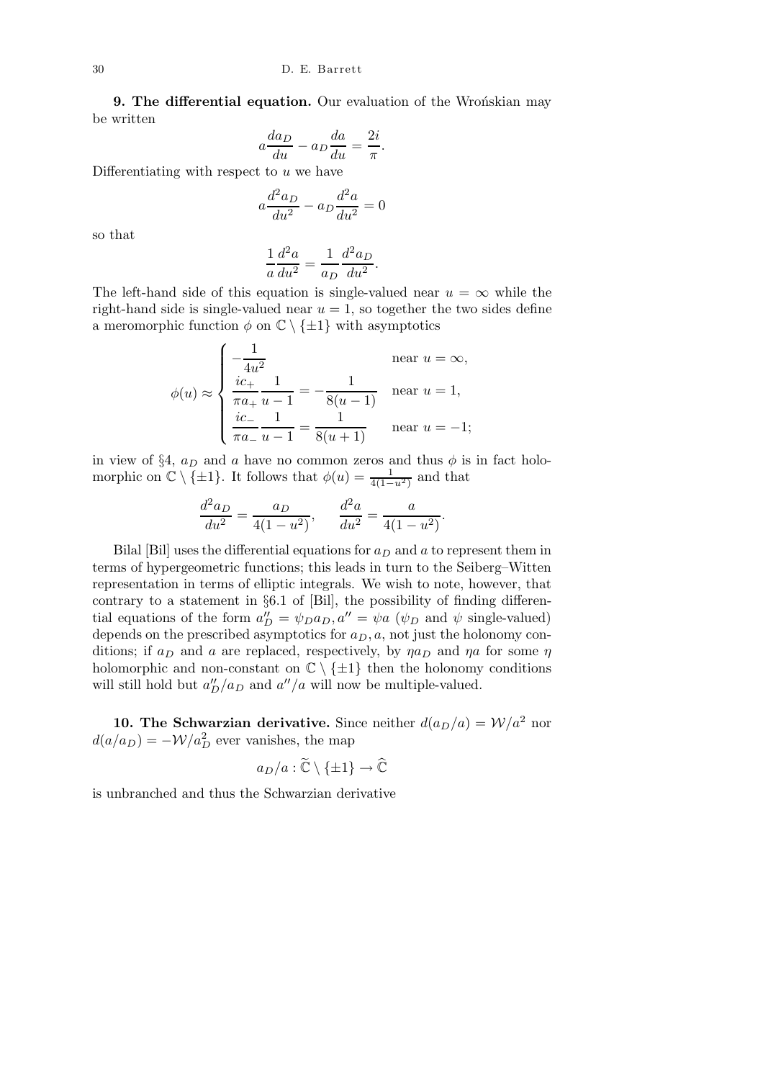9. The differential equation. Our evaluation of the Wronskian may be written

$$
a\frac{da_D}{du} - a_D \frac{da}{du} = \frac{2i}{\pi}.
$$

Differentiating with respect to  $u$  we have

$$
a\frac{d^2a_D}{du^2} - a_D\frac{d^2a}{du^2} = 0
$$

so that

$$
\frac{1}{a}\frac{d^2a}{du^2} = \frac{1}{a_D}\frac{d^2a_D}{du^2}.
$$

The left-hand side of this equation is single-valued near  $u = \infty$  while the right-hand side is single-valued near  $u = 1$ , so together the two sides define a meromorphic function  $\phi$  on  $\mathbb{C} \setminus \{\pm 1\}$  with asymptotics

$$
\phi(u) \approx \begin{cases}\n-\frac{1}{4u^2} & \text{near } u = \infty, \\
\frac{ic_+}{\pi a_+} \frac{1}{u-1} = -\frac{1}{8(u-1)} & \text{near } u = 1, \\
\frac{ic_-}{\pi a_-} \frac{1}{u-1} = \frac{1}{8(u+1)} & \text{near } u = -1;\n\end{cases}
$$

in view of §4,  $a_D$  and a have no common zeros and thus  $\phi$  is in fact holomorphic on  $\mathbb{C} \setminus {\{\pm 1\}}$ . It follows that  $\phi(u) = \frac{1}{4(1-u^2)}$  and that

$$
\frac{d^2a_D}{du^2} = \frac{a_D}{4(1 - u^2)}, \qquad \frac{d^2a}{du^2} = \frac{a}{4(1 - u^2)}.
$$

Bilal [Bil] uses the differential equations for  $a_D$  and a to represent them in terms of hypergeometric functions; this leads in turn to the Seiberg–Witten representation in terms of elliptic integrals. We wish to note, however, that contrary to a statement in §6.1 of [Bil], the possibility of finding differential equations of the form  $a''_D = \psi_D a_D$ ,  $a'' = \psi_a$  ( $\psi_D$  and  $\psi$  single-valued) depends on the prescribed asymptotics for  $a_D, a$ , not just the holonomy conditions; if  $a_D$  and a are replaced, respectively, by  $\eta a_D$  and  $\eta a$  for some  $\eta$ holomorphic and non-constant on  $\mathbb{C} \setminus \{\pm 1\}$  then the holonomy conditions will still hold but  $a''_D/a_D$  and  $a''/a$  will now be multiple-valued.

10. The Schwarzian derivative. Since neither  $d(a_D/a) = W/a^2$  nor  $d(a/a_D) = -W/a_D^2$  ever vanishes, the map

$$
a_D/a : \widetilde{\mathbb{C}} \setminus \{\pm 1\} \to \widehat{\mathbb{C}}
$$

is unbranched and thus the Schwarzian derivative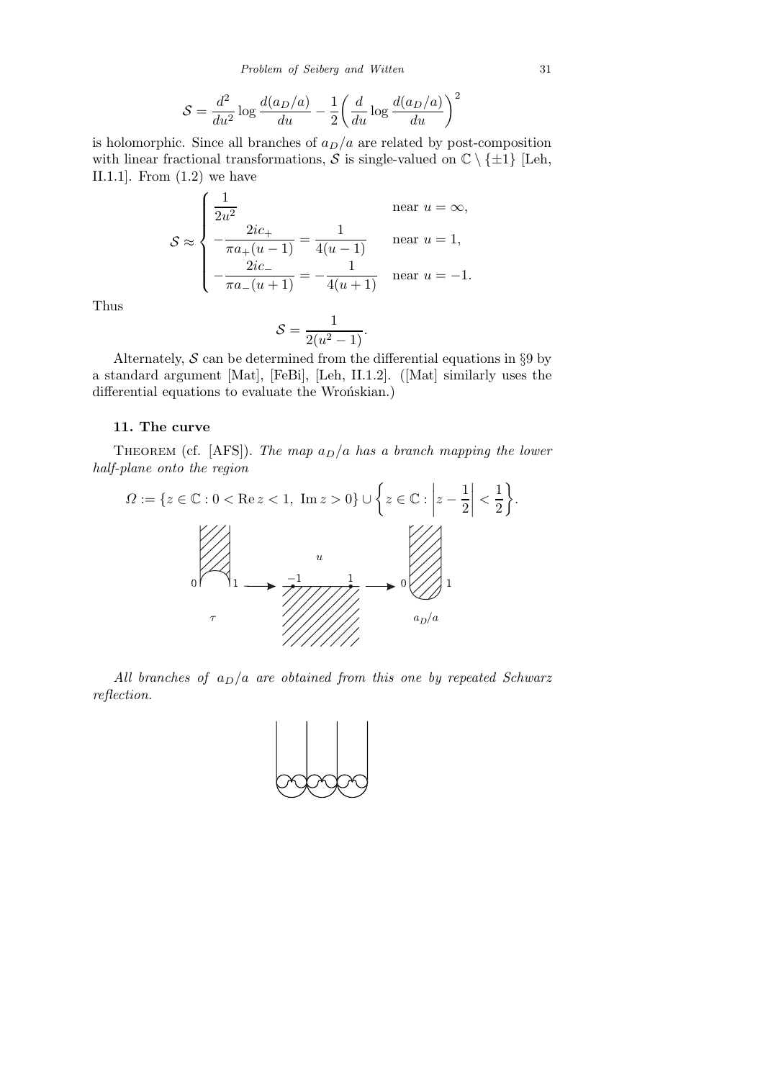*Problem of Seiberg and Witten* 31

$$
S = \frac{d^2}{du^2} \log \frac{d(a_D/a)}{du} - \frac{1}{2} \left( \frac{d}{du} \log \frac{d(a_D/a)}{du} \right)^2
$$

is holomorphic. Since all branches of  $a_D/a$  are related by post-composition with linear fractional transformations, S is single-valued on  $\mathbb{C} \setminus \{\pm 1\}$  [Leh, II.1.1.]. From  $(1.2)$  we have

$$
S \approx \begin{cases} \frac{1}{2u^2} & \text{near } u = \infty, \\ -\frac{2ic_+}{\pi a_+(u-1)} = \frac{1}{4(u-1)} & \text{near } u = 1, \\ -\frac{2ic_-}{\pi a_-(u+1)} = -\frac{1}{4(u+1)} & \text{near } u = -1. \end{cases}
$$

Thus

$$
S = \frac{1}{2(u^2 - 1)}.
$$

Alternately,  $S$  can be determined from the differential equations in  $\S 9$  by a standard argument [Mat], [FeBi], [Leh, II.1.2]. ([Mat] similarly uses the differential equations to evaluate the Wrońskian.)

### 11. The curve

THEOREM (cf. [AFS]). The map  $a_D/a$  has a branch mapping the lower half-plane onto the region



All branches of  $a_D/a$  are obtained from this one by repeated Schwarz reflection.

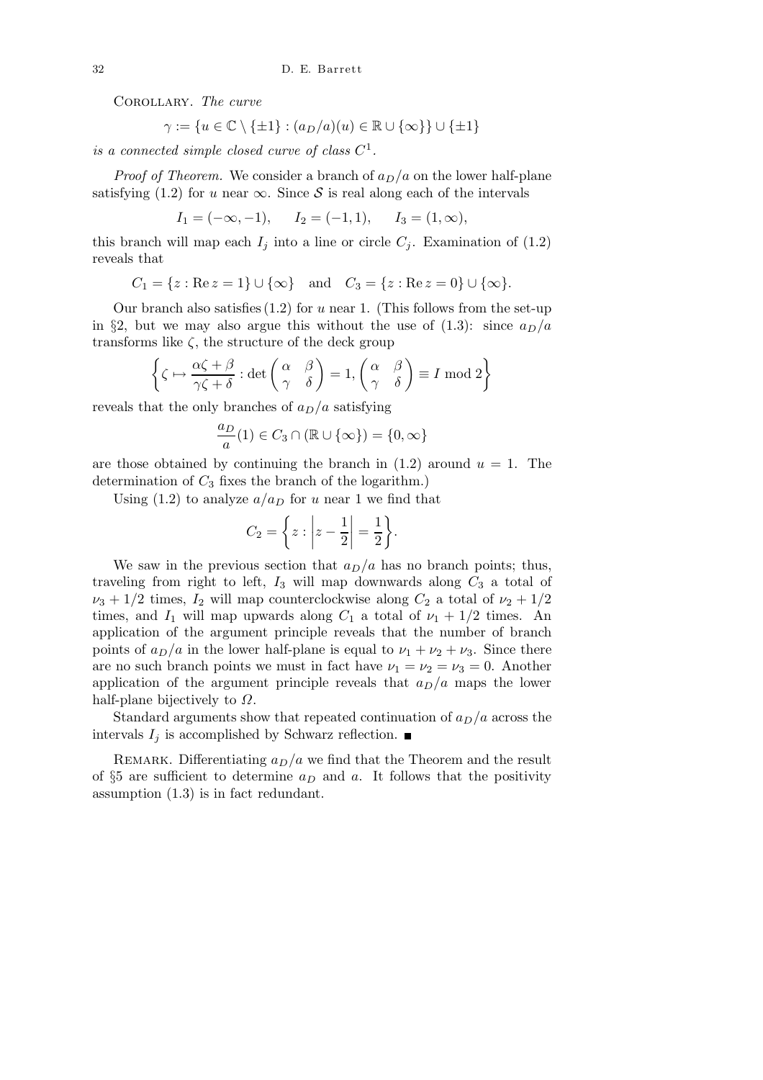Corollary. The curve

$$
\gamma:=\{u\in\mathbb{C}\setminus\{\pm 1\}:(a_D/a)(u)\in\mathbb{R}\cup\{\infty\}\}\cup\{\pm 1\}
$$

is a connected simple closed curve of class  $C^1$ .

*Proof of Theorem.* We consider a branch of  $a_D/a$  on the lower half-plane satisfying (1.2) for u near  $\infty$ . Since S is real along each of the intervals

 $I_1 = (-\infty, -1), \quad I_2 = (-1, 1), \quad I_3 = (1, \infty),$ 

this branch will map each  $I_j$  into a line or circle  $C_j$ . Examination of (1.2) reveals that

 $C_1 = \{z : \text{Re } z = 1\} \cup \{\infty\}$  and  $C_3 = \{z : \text{Re } z = 0\} \cup \{\infty\}.$ 

Our branch also satisfies  $(1.2)$  for u near 1. (This follows from the set-up in §2, but we may also argue this without the use of  $(1.3)$ : since  $a_D/a$ transforms like  $\zeta$ , the structure of the deck group

$$
\left\{\zeta \mapsto \frac{\alpha \zeta + \beta}{\gamma \zeta + \delta} : \det \begin{pmatrix} \alpha & \beta \\ \gamma & \delta \end{pmatrix} = 1, \begin{pmatrix} \alpha & \beta \\ \gamma & \delta \end{pmatrix} \equiv I \bmod 2 \right\}
$$

reveals that the only branches of  $a_D/a$  satisfying

$$
\frac{a_D}{a}(1) \in C_3 \cap (\mathbb{R} \cup {\infty}) = \{0, \infty\}
$$

are those obtained by continuing the branch in  $(1.2)$  around  $u = 1$ . The determination of  $C_3$  fixes the branch of the logarithm.)

Using (1.2) to analyze  $a/a_D$  for u near 1 we find that

$$
C_2 = \left\{ z : \left| z - \frac{1}{2} \right| = \frac{1}{2} \right\}.
$$

We saw in the previous section that  $a_D/a$  has no branch points; thus, traveling from right to left,  $I_3$  will map downwards along  $C_3$  a total of  $\nu_3 + 1/2$  times,  $I_2$  will map counterclockwise along  $C_2$  a total of  $\nu_2 + 1/2$ times, and  $I_1$  will map upwards along  $C_1$  a total of  $\nu_1 + 1/2$  times. An application of the argument principle reveals that the number of branch points of  $a_D/a$  in the lower half-plane is equal to  $\nu_1 + \nu_2 + \nu_3$ . Since there are no such branch points we must in fact have  $\nu_1 = \nu_2 = \nu_3 = 0$ . Another application of the argument principle reveals that  $a_D/a$  maps the lower half-plane bijectively to  $\Omega$ .

Standard arguments show that repeated continuation of  $a_D/a$  across the intervals  $I_j$  is accomplished by Schwarz reflection.

REMARK. Differentiating  $a_D/a$  we find that the Theorem and the result of  $\S5$  are sufficient to determine  $a_D$  and  $a$ . It follows that the positivity assumption (1.3) is in fact redundant.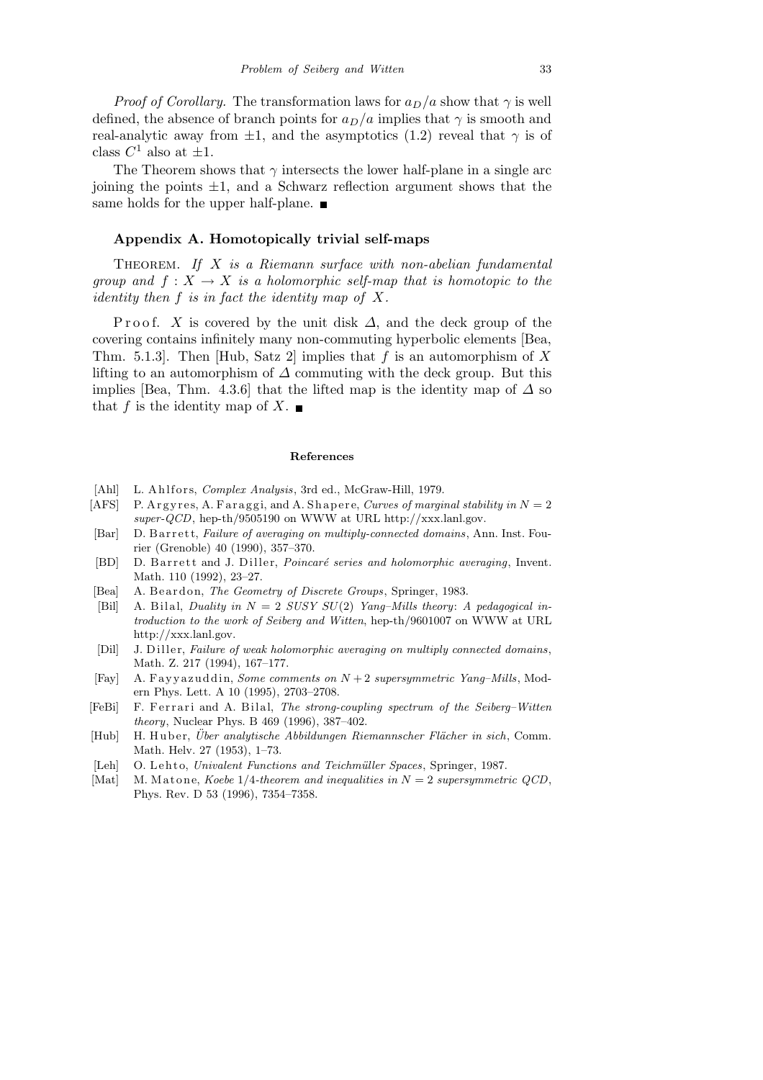*Proof of Corollary.* The transformation laws for  $a_D/a$  show that  $\gamma$  is well defined, the absence of branch points for  $a_D/a$  implies that  $\gamma$  is smooth and real-analytic away from  $\pm 1$ , and the asymptotics (1.2) reveal that  $\gamma$  is of class  $C^1$  also at  $\pm 1$ .

The Theorem shows that  $\gamma$  intersects the lower half-plane in a single arc joining the points  $\pm 1$ , and a Schwarz reflection argument shows that the same holds for the upper half-plane.  $\blacksquare$ 

#### Appendix A. Homotopically trivial self-maps

THEOREM. If  $X$  is a Riemann surface with non-abelian fundamental group and  $f: X \to X$  is a holomorphic self-map that is homotopic to the identity then f is in fact the identity map of X.

P r o o f. X is covered by the unit disk  $\Delta$ , and the deck group of the covering contains infinitely many non-commuting hyperbolic elements [Bea, Thm. 5.1.3. Then [Hub, Satz 2] implies that f is an automorphism of X lifting to an automorphism of  $\Delta$  commuting with the deck group. But this implies [Bea, Thm. 4.3.6] that the lifted map is the identity map of  $\Delta$  so that f is the identity map of X.  $\blacksquare$ 

#### **References**

- [Ahl] L. Ahlfors, *Complex Analysis*, 3rd ed., McGraw-Hill, 1979.
- $[ATS]$  P. Argyres, A. Faraggi, and A. Shapere, *Curves of marginal stability in*  $N = 2$ *super-QCD*, hep-th/9505190 on WWW at URL http://xxx.lanl.gov.
- [Bar] D. B arrett, *Failure of averaging on multiply-connected domains*, Ann. Inst. Fourier (Grenoble) 40 (1990), 357–370.
- [BD] D. B arrett and J. Diller, *Poincaré series and holomorphic averaging*, Invent. Math. 110 (1992), 23–27.
- [Bea] A. Beardon, *The Geometry of Discrete Groups*, Springer, 1983.
- [Bil] A. Bilal, *Duality in*  $N = 2$  *SUSY SU(2) Yang–Mills theory: A pedagogical introduction to the work of Seiberg and Witten*, hep-th/9601007 on WWW at URL http://xxx.lanl.gov.
- [Dil] J. Diller, *Failure of weak holomorphic averaging on multiply connected domains*, Math. Z. 217 (1994), 167–177.
- [Fay] A. F a y y a z u d di n, *Some comments on N* + 2 *supersymmetric Yang–Mills*, Modern Phys. Lett. A 10 (1995), 2703–2708.
- [FeBi] F. Ferrari and A. Bilal, *The strong-coupling spectrum of the Seiberg-Witten theory*, Nuclear Phys. B 469 (1996), 387–402.
- [Hub] H. Huber, *Über analytische Abbildungen Riemannscher Flächer in sich*, Comm. Math. Helv. 27 (1953), 1–73.
- [Leh] O. Lehto, *Univalent Functions and Teichmüller Spaces*, Springer, 1987.
- [Mat] M. Matone, *Koebe*  $1/4$ *-theorem and inequalities in*  $N = 2$  *supersymmetric QCD*, Phys. Rev. D 53 (1996), 7354–7358.